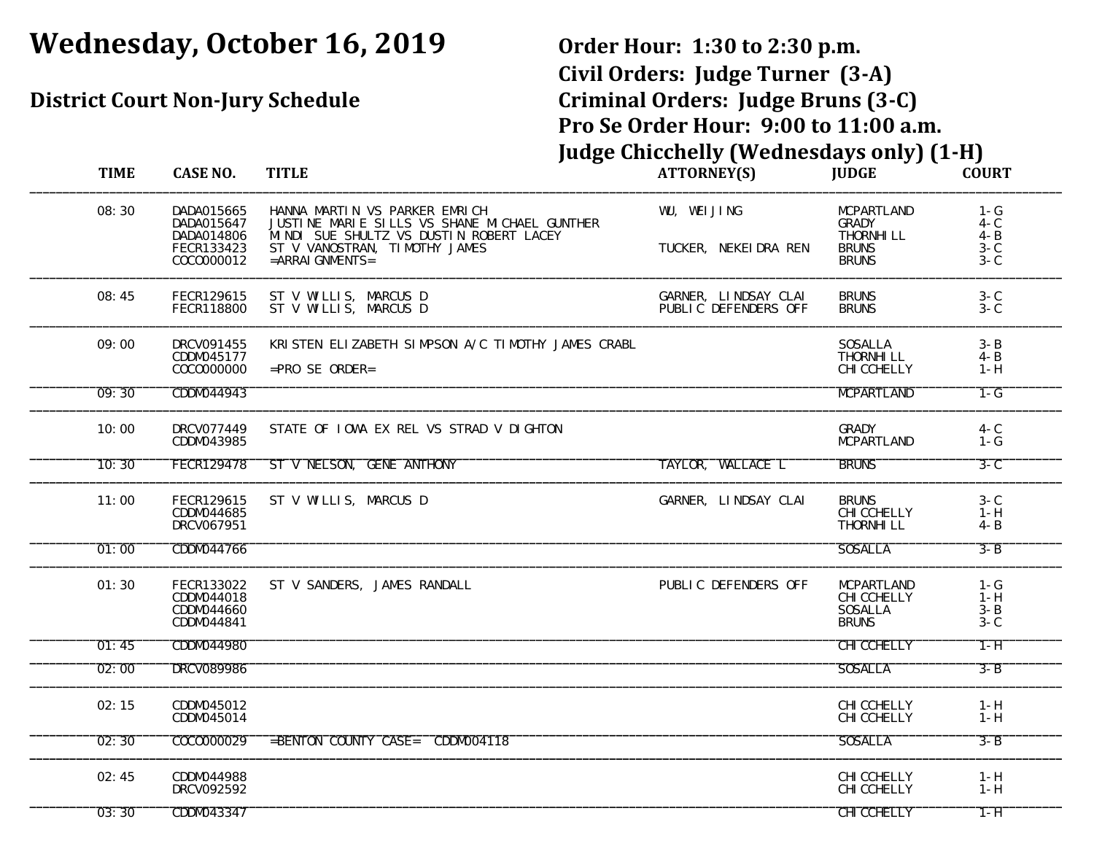# **Wednesday, October 16, 2019 Order Hour: 1:30 to 2:30 p.m.**

# **Civil Orders: Judge Turner (3-A) District Court Non-Jury Schedule Criminal Orders: Judge Bruns (3-C) Pro Se Order Hour: 9:00 to 11:00 a.m. Judge Chicchelly (Wednesdays only) (1-H)**

| <b>TIME</b> | <b>CASE NO.</b>                                                    | <b>TITLE</b>                                                                                                                                                                       | <b>ATTORNEY(S)</b>                           | <b>JUDGE</b>                                                                    | <b>COURT</b>                                  |
|-------------|--------------------------------------------------------------------|------------------------------------------------------------------------------------------------------------------------------------------------------------------------------------|----------------------------------------------|---------------------------------------------------------------------------------|-----------------------------------------------|
| 08:30       | DADA015665<br>DADA015647<br>DADA014806<br>FECR133423<br>COCO000012 | HANNA MARTIN VS PARKER EMRICH<br>JUSTINE MARIE SILLS VS SHANE MICHAEL GUNTHER<br>MINDI SUE SHULTZ VS DUSTIN ROBERT LACEY<br>ST V VANOSTRAN, TIMOTHY JAMES<br>$=$ ARRAI GNMENTS $=$ | WU, WEI JING<br>TUCKER, NEKEI DRA REN        | <b>MCPARTLAND</b><br><b>GRADY</b><br>THORNHI LL<br><b>BRUNS</b><br><b>BRUNS</b> | $1 - G$<br>4- C<br>$4 - B$<br>3- C<br>$3 - C$ |
| 08:45       | FECR129615<br><b>FECR118800</b>                                    | ST V WILLIS, MARCUS D<br>ST V WILLIS, MARCUS D                                                                                                                                     | GARNER. LINDSAY CLAI<br>PUBLIC DEFENDERS OFF | <b>BRUNS</b><br><b>BRUNS</b>                                                    | $3 - C$<br>$3 - C$                            |
| 09:00       | DRCV091455<br>CDDM045177<br>COC0000000                             | KRISTEN ELIZABETH SIMPSON A/C TIMOTHY JAMES CRABL<br>$=$ PRO SE ORDER=                                                                                                             |                                              | <b>SOSALLA</b><br>THORNHI LL<br><b>CHI CCHELLY</b>                              | $3 - B$<br>$4 - B$<br>$1 - H$                 |
| 09:30       | CDDM044943                                                         |                                                                                                                                                                                    |                                              | <b>MCPARTLAND</b>                                                               | $1-G$                                         |
| 10:00       | DRCV077449<br>CDDM043985                                           | STATE OF TOWA EX REL VS STRAD V DIGHTON                                                                                                                                            |                                              | <b>GRADY</b><br><b>MCPARTLAND</b>                                               | $4 - C$<br>$1 - G$                            |
| 10:30       | <b>FECR129478</b>                                                  | ST V NELSON, GENE ANTHONY                                                                                                                                                          | TAYLOR, WALLACE L                            | <b>BRUNS</b>                                                                    | $3-C$                                         |
| 11:00       | FECR129615<br>CDDM044685<br>DRCV067951                             | ST V WILLIS, MARCUS D                                                                                                                                                              | GARNER, LINDSAY CLAI                         | <b>BRUNS</b><br><b>CHI CCHELLY</b><br><b>THORNHI LL</b>                         | $3 - C$<br>$1 - H$<br>$4 - B$                 |
| 01:00       | CDDM044766                                                         |                                                                                                                                                                                    |                                              | <b>SOSALLA</b>                                                                  | $3 - B$                                       |
| 01:30       | <b>FECR133022</b><br>CDDM044018<br>CDDM044660<br>CDDM044841        | ST V SANDERS, JAMES RANDALL                                                                                                                                                        | PUBLIC DEFENDERS OFF                         | <b>MCPARTLAND</b><br><b>CHI CCHELLY</b><br><b>SOSALLA</b><br><b>BRUNS</b>       | $1 - G$<br>$1 - H$<br>$3 - B$<br>$3 - C$      |
| 01:45       | CDDM044980                                                         |                                                                                                                                                                                    |                                              | <b>CHI CCHELLY</b>                                                              | $1 - H$                                       |
| 02:00       | <b>DRCV089986</b>                                                  |                                                                                                                                                                                    |                                              | <b>SOSALLA</b>                                                                  | $3 - B$                                       |
| 02:15       | CDDM045012<br>CDDM045014                                           |                                                                                                                                                                                    |                                              | <b>CHI CCHELLY</b><br><b>CHI CCHELLY</b>                                        | $1 - H$<br>$1 - H$                            |
| 02:30       | COCO000029                                                         | =BENTON COUNTY CASE= CDDM004118                                                                                                                                                    |                                              | <b>SOSALLA</b>                                                                  | $3 - B$                                       |
| 02:45       | CDDM044988<br>DRCV092592                                           |                                                                                                                                                                                    |                                              | <b>CHI CCHELLY</b><br><b>CHI CCHELLY</b>                                        | $1 - H$<br>$1 - H$                            |
| 03:30       | CDDM043347                                                         |                                                                                                                                                                                    |                                              | <b>CHI CCHELLY</b>                                                              | $1 - H$                                       |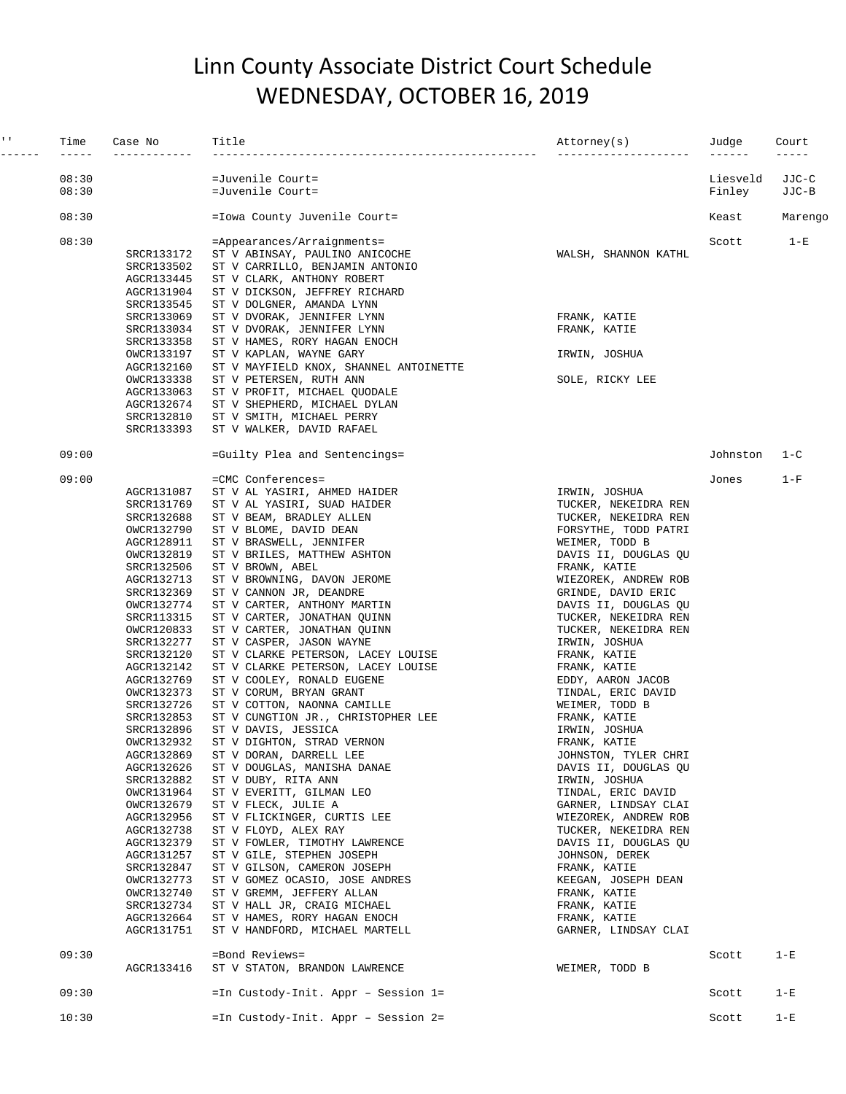### Linn County Associate District Court Schedule WEDNESDAY, OCTOBER 16, 2019

| $\mathbf{I}=\mathbf{I}$ .<br>------- | Time<br>$- - - - -$ | Case No<br>------------                                                                                                                                                                          | Title                                                                                                                                                                                                                                                                                                                                                                                                                    | Attorney(s)<br>-----------                                                                                                                                                                                                                                                                             | Judge<br>$- - - - - -$ | Court<br>$- - - - -$ |
|--------------------------------------|---------------------|--------------------------------------------------------------------------------------------------------------------------------------------------------------------------------------------------|--------------------------------------------------------------------------------------------------------------------------------------------------------------------------------------------------------------------------------------------------------------------------------------------------------------------------------------------------------------------------------------------------------------------------|--------------------------------------------------------------------------------------------------------------------------------------------------------------------------------------------------------------------------------------------------------------------------------------------------------|------------------------|----------------------|
|                                      | 08:30               |                                                                                                                                                                                                  | =Juvenile Court=                                                                                                                                                                                                                                                                                                                                                                                                         |                                                                                                                                                                                                                                                                                                        | Liesveld               | JJC-C                |
|                                      | 08:30               |                                                                                                                                                                                                  | =Juvenile Court=                                                                                                                                                                                                                                                                                                                                                                                                         |                                                                                                                                                                                                                                                                                                        | Finley                 | JJC-B                |
|                                      | 08:30               |                                                                                                                                                                                                  | =Iowa County Juvenile Court=                                                                                                                                                                                                                                                                                                                                                                                             |                                                                                                                                                                                                                                                                                                        | Keast                  | Marengo              |
|                                      | 08:30               | SRCR133172<br>SRCR133502                                                                                                                                                                         | =Appearances/Arraignments=<br>ST V ABINSAY, PAULINO ANICOCHE<br>ST V CARRILLO, BENJAMIN ANTONIO                                                                                                                                                                                                                                                                                                                          | WALSH, SHANNON KATHL                                                                                                                                                                                                                                                                                   | Scott                  | $1-E$                |
|                                      |                     | AGCR133445<br>AGCR131904<br>SRCR133545                                                                                                                                                           | ST V CLARK, ANTHONY ROBERT<br>ST V DICKSON, JEFFREY RICHARD<br>ST V DOLGNER, AMANDA LYNN                                                                                                                                                                                                                                                                                                                                 |                                                                                                                                                                                                                                                                                                        |                        |                      |
|                                      |                     | SRCR133069<br>SRCR133034<br>SRCR133358                                                                                                                                                           | ST V DVORAK, JENNIFER LYNN<br>ST V DVORAK, JENNIFER LYNN<br>ST V HAMES, RORY HAGAN ENOCH                                                                                                                                                                                                                                                                                                                                 | FRANK, KATIE<br>FRANK, KATIE                                                                                                                                                                                                                                                                           |                        |                      |
|                                      |                     | OWCR133197<br>AGCR132160                                                                                                                                                                         | ST V KAPLAN, WAYNE GARY<br>ST V MAYFIELD KNOX, SHANNEL ANTOINETTE                                                                                                                                                                                                                                                                                                                                                        | IRWIN, JOSHUA                                                                                                                                                                                                                                                                                          |                        |                      |
|                                      |                     | OWCR133338<br>AGCR133063<br>AGCR132674<br>SRCR132810<br>SRCR133393                                                                                                                               | ST V PETERSEN, RUTH ANN<br>ST V PROFIT, MICHAEL QUODALE<br>ST V SHEPHERD, MICHAEL DYLAN<br>ST V SMITH, MICHAEL PERRY<br>ST V WALKER, DAVID RAFAEL                                                                                                                                                                                                                                                                        | SOLE, RICKY LEE                                                                                                                                                                                                                                                                                        |                        |                      |
|                                      | 09:00               |                                                                                                                                                                                                  | =Guilty Plea and Sentencings=                                                                                                                                                                                                                                                                                                                                                                                            |                                                                                                                                                                                                                                                                                                        | Johnston               | $1 - C$              |
|                                      | 09:00               |                                                                                                                                                                                                  | =CMC Conferences=                                                                                                                                                                                                                                                                                                                                                                                                        |                                                                                                                                                                                                                                                                                                        | Jones                  | $1-F$                |
|                                      |                     | AGCR131087<br>SRCR131769<br>SRCR132688<br>OWCR132790<br>AGCR128911<br>OWCR132819<br>SRCR132506<br>AGCR132713<br>SRCR132369<br>OWCR132774<br>SRCR113315<br>OWCR120833<br>SRCR132277<br>SRCR132120 | ST V AL YASIRI, AHMED HAIDER<br>ST V AL YASIRI, SUAD HAIDER<br>ST V BEAM, BRADLEY ALLEN<br>ST V BLOME, DAVID DEAN<br>ST V BRASWELL, JENNIFER<br>ST V BRILES, MATTHEW ASHTON<br>ST V BROWN, ABEL<br>ST V BROWNING, DAVON JEROME<br>ST V CANNON JR, DEANDRE<br>ST V CARTER, ANTHONY MARTIN<br>ST V CARTER, JONATHAN QUINN<br>ST V CARTER, JONATHAN QUINN<br>ST V CASPER, JASON WAYNE<br>ST V CLARKE PETERSON, LACEY LOUISE | IRWIN, JOSHUA<br>TUCKER, NEKEIDRA REN<br>TUCKER, NEKEIDRA REN<br>FORSYTHE, TODD PATRI<br>WEIMER, TODD B<br>DAVIS II, DOUGLAS QU<br>FRANK, KATIE<br>WIEZOREK, ANDREW ROB<br>GRINDE, DAVID ERIC<br>DAVIS II, DOUGLAS QU<br>TUCKER, NEKEIDRA REN<br>TUCKER, NEKEIDRA REN<br>IRWIN, JOSHUA<br>FRANK, KATIE |                        |                      |
|                                      |                     | AGCR132142<br>AGCR132769<br>OWCR132373<br>SRCR132726<br>SRCR132853<br>SRCR132896<br>OWCR132932<br>AGCR132869<br>AGCR132626<br>SRCR132882<br>OWCR131964<br>OWCR132679<br>AGCR132956               | ST V CLARKE PETERSON, LACEY LOUISE<br>ST V COOLEY, RONALD EUGENE<br>ST V CORUM, BRYAN GRANT<br>ST V COTTON, NAONNA CAMILLE<br>ST V CUNGTION JR., CHRISTOPHER LEE<br>ST V DAVIS, JESSICA<br>ST V DIGHTON, STRAD VERNON<br>ST V DORAN, DARRELL LEE<br>ST V DOUGLAS, MANISHA DANAE<br>ST V DUBY, RITA ANN<br>ST V EVERITT, GILMAN LEO<br>ST V FLECK, JULIE A<br>ST V FLICKINGER, CURTIS LEE                                 | FRANK, KATIE<br>EDDY, AARON JACOB<br>TINDAL, ERIC DAVID<br>WEIMER, TODD B<br>FRANK, KATIE<br>IRWIN, JOSHUA<br>FRANK, KATIE<br>JOHNSTON, TYLER CHRI<br>DAVIS II, DOUGLAS QU<br>IRWIN, JOSHUA<br>TINDAL, ERIC DAVID<br>GARNER, LINDSAY CLAI<br>WIEZOREK, ANDREW ROB                                      |                        |                      |
|                                      |                     | AGCR132738<br>AGCR132379<br>AGCR131257<br>SRCR132847<br>OWCR132773<br>OWCR132740<br>SRCR132734<br>AGCR132664<br>AGCR131751                                                                       | ST V FLOYD, ALEX RAY<br>ST V FOWLER, TIMOTHY LAWRENCE<br>ST V GILE, STEPHEN JOSEPH<br>ST V GILSON, CAMERON JOSEPH<br>ST V GOMEZ OCASIO, JOSE ANDRES<br>ST V GREMM, JEFFERY ALLAN<br>ST V HALL JR, CRAIG MICHAEL<br>ST V HAMES, RORY HAGAN ENOCH<br>ST V HANDFORD, MICHAEL MARTELL                                                                                                                                        | TUCKER, NEKEIDRA REN<br>DAVIS II, DOUGLAS QU<br>JOHNSON, DEREK<br>FRANK, KATIE<br>KEEGAN, JOSEPH DEAN<br>FRANK, KATIE<br>FRANK, KATIE<br>FRANK, KATIE<br>GARNER, LINDSAY CLAI                                                                                                                          |                        |                      |
|                                      | 09:30               | AGCR133416                                                                                                                                                                                       | =Bond Reviews=<br>ST V STATON, BRANDON LAWRENCE                                                                                                                                                                                                                                                                                                                                                                          | WEIMER, TODD B                                                                                                                                                                                                                                                                                         | Scott                  | $1-E$                |
|                                      | 09:30               |                                                                                                                                                                                                  | =In Custody-Init. Appr - Session 1=                                                                                                                                                                                                                                                                                                                                                                                      |                                                                                                                                                                                                                                                                                                        | Scott                  | $1-E$                |
|                                      | 10:30               |                                                                                                                                                                                                  | =In Custody-Init. Appr - Session 2=                                                                                                                                                                                                                                                                                                                                                                                      |                                                                                                                                                                                                                                                                                                        | Scott                  | $1-E$                |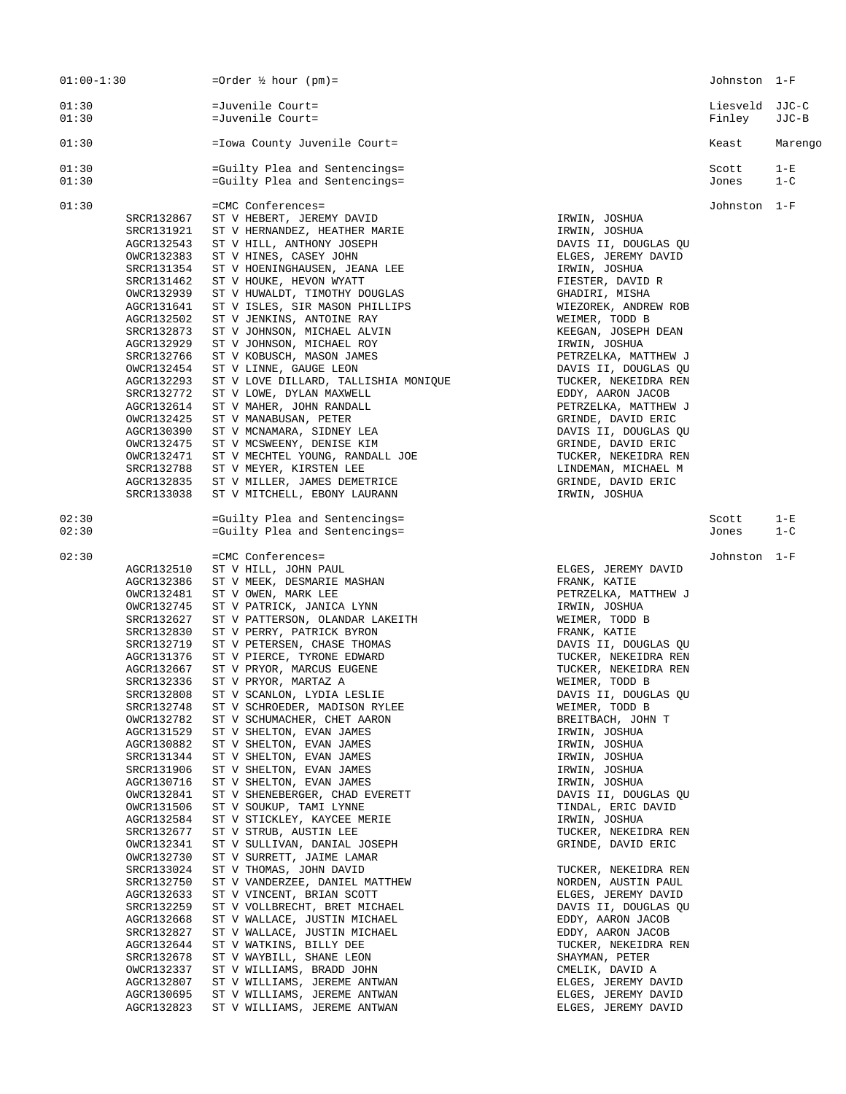| $01:00-1:30$                                                                                                                                                                                                                                                                                                                                                                                                                                                                                                                  | =Order $\frac{1}{2}$ hour (pm)=                                                                                                                                                                                                                                                                                                                                                                                                                                                                                                                                                                                                                                                                                                                                                                                                                                                                                                                                                                                                                                                                                           |                                                                                                                                                                                                                                                                                                                                                                                                                                                                                                                                                                                                                                                                                                                                                     | Johnston 1-F             |                  |
|-------------------------------------------------------------------------------------------------------------------------------------------------------------------------------------------------------------------------------------------------------------------------------------------------------------------------------------------------------------------------------------------------------------------------------------------------------------------------------------------------------------------------------|---------------------------------------------------------------------------------------------------------------------------------------------------------------------------------------------------------------------------------------------------------------------------------------------------------------------------------------------------------------------------------------------------------------------------------------------------------------------------------------------------------------------------------------------------------------------------------------------------------------------------------------------------------------------------------------------------------------------------------------------------------------------------------------------------------------------------------------------------------------------------------------------------------------------------------------------------------------------------------------------------------------------------------------------------------------------------------------------------------------------------|-----------------------------------------------------------------------------------------------------------------------------------------------------------------------------------------------------------------------------------------------------------------------------------------------------------------------------------------------------------------------------------------------------------------------------------------------------------------------------------------------------------------------------------------------------------------------------------------------------------------------------------------------------------------------------------------------------------------------------------------------------|--------------------------|------------------|
| 01:30<br>01:30                                                                                                                                                                                                                                                                                                                                                                                                                                                                                                                | =Juvenile Court=<br>=Juvenile Court=                                                                                                                                                                                                                                                                                                                                                                                                                                                                                                                                                                                                                                                                                                                                                                                                                                                                                                                                                                                                                                                                                      |                                                                                                                                                                                                                                                                                                                                                                                                                                                                                                                                                                                                                                                                                                                                                     | Liesveld JJC-C<br>Finley | JJC-B            |
| 01:30                                                                                                                                                                                                                                                                                                                                                                                                                                                                                                                         | = Iowa County Juvenile Court=                                                                                                                                                                                                                                                                                                                                                                                                                                                                                                                                                                                                                                                                                                                                                                                                                                                                                                                                                                                                                                                                                             |                                                                                                                                                                                                                                                                                                                                                                                                                                                                                                                                                                                                                                                                                                                                                     | Keast                    | Marengo          |
| 01:30<br>01:30                                                                                                                                                                                                                                                                                                                                                                                                                                                                                                                | =Guilty Plea and Sentencings=<br>=Guilty Plea and Sentencings=                                                                                                                                                                                                                                                                                                                                                                                                                                                                                                                                                                                                                                                                                                                                                                                                                                                                                                                                                                                                                                                            |                                                                                                                                                                                                                                                                                                                                                                                                                                                                                                                                                                                                                                                                                                                                                     | Scott<br>Jones           | $1-E$<br>$1 - C$ |
| 01:30<br>SRCR132867<br>SRCR131921<br>AGCR132543<br>OWCR132383<br>SRCR131354<br>SRCR131462<br>OWCR132939<br>AGCR131641<br>AGCR132502<br>SRCR132873<br>AGCR132929<br>SRCR132766<br>OWCR132454<br>AGCR132293<br>SRCR132772<br>AGCR132614<br>OWCR132425<br>AGCR130390<br>OWCR132475<br>OWCR132471<br>SRCR132788<br>AGCR132835<br>SRCR133038                                                                                                                                                                                       | =CMC Conferences=<br>ST V HEBERT, JEREMY DAVID<br>ST V HERNANDEZ, HEATHER MARIE<br>ST V HILL, ANTHONY JOSEPH<br>ST V HINES, CASEY JOHN<br>ST V HOENINGHAUSEN, JEANA LEE<br>ST V HOUKE, HEVON WYATT<br>ST V HUWALDT, TIMOTHY DOUGLAS<br>ST V ISLES, SIR MASON PHILLIPS<br>ST V JENKINS, ANTOINE RAY<br>ST V JOHNSON, MICHAEL ALVIN<br>ST V JOHNSON, MICHAEL ROY<br>ST V KOBUSCH, MASON JAMES<br>ST V LINNE, GAUGE LEON<br>ST V LOVE DILLARD, TALLISHIA MONIQUE<br>ST V LOWE, DYLAN MAXWELL<br>ST V MAHER, JOHN RANDALL<br>ST V MANABUSAN, PETER<br>ST V MCNAMARA, SIDNEY LEA<br>ST V MCSWEENY, DENISE KIM<br>ST V MECHTEL YOUNG, RANDALL JOE<br>ST V MEYER, KIRSTEN LEE<br>ST V MILLER, JAMES DEMETRICE<br>ST V MITCHELL, EBONY LAURANN                                                                                                                                                                                                                                                                                                                                                                                    | IRWIN, JOSHUA<br>IRWIN, JOSHUA<br>DAVIS II, DOUGLAS QU<br>ELGES, JEREMY DAVID<br>IRWIN, JOSHUA<br>FIESTER, DAVID R<br>GHADIRI, MISHA<br>WIEZOREK, ANDREW ROB<br>WEIMER, TODD B<br>KEEGAN, JOSEPH DEAN<br>IRWIN, JOSHUA<br>PETRZELKA, MATTHEW J<br>DAVIS II, DOUGLAS QU<br>TUCKER, NEKEIDRA REN<br>EDDY, AARON JACOB<br>PETRZELKA, MATTHEW J<br>GRINDE, DAVID ERIC<br>DAVIS II, DOUGLAS QU<br>GRINDE, DAVID ERIC<br>TUCKER, NEKEIDRA REN<br>LINDEMAN, MICHAEL M<br>GRINDE, DAVID ERIC<br>IRWIN, JOSHUA                                                                                                                                                                                                                                               | Johnston 1-F             |                  |
| 02:30<br>02:30                                                                                                                                                                                                                                                                                                                                                                                                                                                                                                                | =Guilty Plea and Sentencings=<br>=Guilty Plea and Sentencings=                                                                                                                                                                                                                                                                                                                                                                                                                                                                                                                                                                                                                                                                                                                                                                                                                                                                                                                                                                                                                                                            |                                                                                                                                                                                                                                                                                                                                                                                                                                                                                                                                                                                                                                                                                                                                                     | Scott<br>Jones           | $1-E$<br>$1 - C$ |
| 02:30<br>AGCR132510<br>AGCR132386<br>OWCR132481<br>OWCR132745<br>SRCR132627<br>SRCR132830<br>SRCR132719<br>AGCR131376<br>AGCR132667<br>SRCR132336<br>SRCR132808<br>SRCR132748<br>OWCR132782<br>AGCR131529<br>AGCR130882<br>SRCR131344<br>SRCR131906<br>AGCR130716<br>OWCR132841<br>OWCR131506<br>AGCR132584<br>SRCR132677<br>OWCR132341<br>OWCR132730<br>SRCR133024<br>SRCR132750<br>AGCR132633<br>SRCR132259<br>AGCR132668<br>SRCR132827<br>AGCR132644<br>SRCR132678<br>OWCR132337<br>AGCR132807<br>AGCR130695<br>AGCR132823 | =CMC Conferences=<br>ST V HILL, JOHN PAUL<br>ST V MEEK, DESMARIE MASHAN<br>ST V OWEN, MARK LEE<br>ST V PATRICK, JANICA LYNN<br>ST V PATTERSON, OLANDAR LAKEITH<br>ST V PERRY, PATRICK BYRON<br>ST V PETERSEN, CHASE THOMAS<br>ST V PIERCE, TYRONE EDWARD<br>ST V PRYOR, MARCUS EUGENE<br>ST V PRYOR, MARTAZ A<br>ST V SCANLON, LYDIA LESLIE<br>ST V SCHROEDER, MADISON RYLEE<br>ST V SCHUMACHER, CHET AARON<br>ST V SHELTON, EVAN JAMES<br>ST V SHELTON, EVAN JAMES<br>ST V SHELTON, EVAN JAMES<br>ST V SHELTON, EVAN JAMES<br>ST V SHELTON, EVAN JAMES<br>ST V SHENEBERGER, CHAD EVERETT<br>ST V SOUKUP, TAMI LYNNE<br>ST V STICKLEY, KAYCEE MERIE<br>ST V STRUB, AUSTIN LEE<br>ST V SULLIVAN, DANIAL JOSEPH<br>ST V SURRETT, JAIME LAMAR<br>ST V THOMAS, JOHN DAVID<br>ST V VANDERZEE, DANIEL MATTHEW<br>ST V VINCENT, BRIAN SCOTT<br>ST V VOLLBRECHT, BRET MICHAEL<br>ST V WALLACE, JUSTIN MICHAEL<br>ST V WALLACE, JUSTIN MICHAEL<br>ST V WATKINS, BILLY DEE<br>ST V WAYBILL, SHANE LEON<br>ST V WILLIAMS, BRADD JOHN<br>ST V WILLIAMS, JEREME ANTWAN<br>ST V WILLIAMS, JEREME ANTWAN<br>ST V WILLIAMS, JEREME ANTWAN | ELGES, JEREMY DAVID<br>FRANK, KATIE<br>PETRZELKA, MATTHEW J<br>IRWIN, JOSHUA<br>WEIMER, TODD B<br>FRANK, KATIE<br>DAVIS II, DOUGLAS QU<br>TUCKER, NEKEIDRA REN<br>TUCKER, NEKEIDRA REN<br>WEIMER, TODD B<br>DAVIS II, DOUGLAS QU<br>WEIMER, TODD B<br>BREITBACH, JOHN T<br>IRWIN, JOSHUA<br>IRWIN, JOSHUA<br>IRWIN, JOSHUA<br>IRWIN, JOSHUA<br>IRWIN, JOSHUA<br>DAVIS II, DOUGLAS OU<br>TINDAL, ERIC DAVID<br>IRWIN, JOSHUA<br>TUCKER, NEKEIDRA REN<br>GRINDE, DAVID ERIC<br>TUCKER, NEKEIDRA REN<br>NORDEN, AUSTIN PAUL<br>ELGES, JEREMY DAVID<br>DAVIS II, DOUGLAS QU<br>EDDY, AARON JACOB<br>EDDY, AARON JACOB<br>TUCKER, NEKEIDRA REN<br>SHAYMAN, PETER<br>CMELIK, DAVID A<br>ELGES, JEREMY DAVID<br>ELGES, JEREMY DAVID<br>ELGES, JEREMY DAVID | Johnston 1-F             |                  |